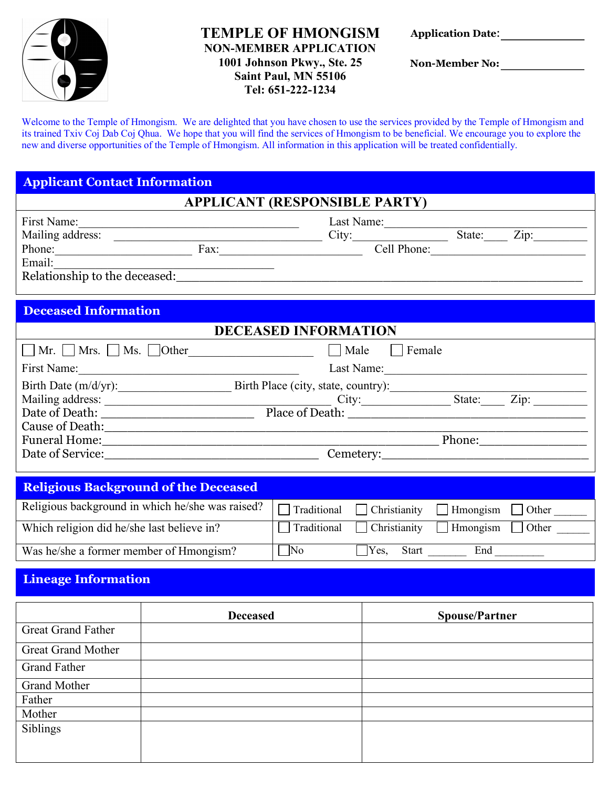

## **TEMPLE OF HMONGISM NON-MEMBER APPLICATION 1001 Johnson Pkwy., Ste. 25 Saint Paul, MN 55106 Tel: 651-222-1234**

| <b>Application Date:</b> |  |  |
|--------------------------|--|--|
|--------------------------|--|--|

**Non-Member No:** 

Welcome to the Temple of Hmongism. We are delighted that you have chosen to use the services provided by the Temple of Hmongism and its trained Txiv Coj Dab Coj Qhua.We hope that you will find the services of Hmongism to be beneficial. We encourage you to explore the new and diverse opportunities of the Temple of Hmongism. All information in this application will be treated confidentially.

# **Applicant Contact Information**

## **APPLICANT (RESPONSIBLE PARTY)**

| First Name:                   |      | Last Name:  |        |                    |
|-------------------------------|------|-------------|--------|--------------------|
| Mailing address:              |      | City:       | State: | $\overline{Z}$ ip: |
| Phone:                        | Fax: | Cell Phone: |        |                    |
| Email:                        |      |             |        |                    |
| Relationship to the deceased: |      |             |        |                    |

# **Deceased Information**

| <b>DECEASED INFORMATION</b>                    |                                     |        |      |
|------------------------------------------------|-------------------------------------|--------|------|
| $\Box$ Mr. $\Box$ Mrs. $\Box$ Ms. $\Box$ Other | Male<br>Female                      |        |      |
| First Name:                                    | Last Name:                          |        |      |
| Birth Date (m/d/yr):                           | Birth Place (city, state, country): |        |      |
| Mailing address:                               | City:                               | State: | Zip: |
| Date of Death:                                 |                                     |        |      |
| Cause of Death:                                |                                     |        |      |
| <b>Funeral Home:</b>                           |                                     | Phone: |      |
| Date of Service:                               | Cemetery:                           |        |      |
|                                                |                                     |        |      |

| <b>Religious Background of the Deceased</b>      |                     |                                               |                 |              |
|--------------------------------------------------|---------------------|-----------------------------------------------|-----------------|--------------|
| Religious background in which he/she was raised? |                     | $\Box$ Traditional $\Box$ Christianity        | Hmongism Other  |              |
| Which religion did he/she last believe in?       |                     | $\Box$ Traditional $\Box$ Christianity $\Box$ | $\Box$ Hmongism | $\log$ Other |
| Was he/she a former member of Hmongism?          | $\overline{\rm No}$ | Yes.<br><b>Start</b>                          | End             |              |

## **Lineage Information**

|                           | <b>Deceased</b> | <b>Spouse/Partner</b> |
|---------------------------|-----------------|-----------------------|
| <b>Great Grand Father</b> |                 |                       |
| Great Grand Mother        |                 |                       |
| <b>Grand Father</b>       |                 |                       |
| <b>Grand Mother</b>       |                 |                       |
| Father                    |                 |                       |
| Mother                    |                 |                       |
| Siblings                  |                 |                       |
|                           |                 |                       |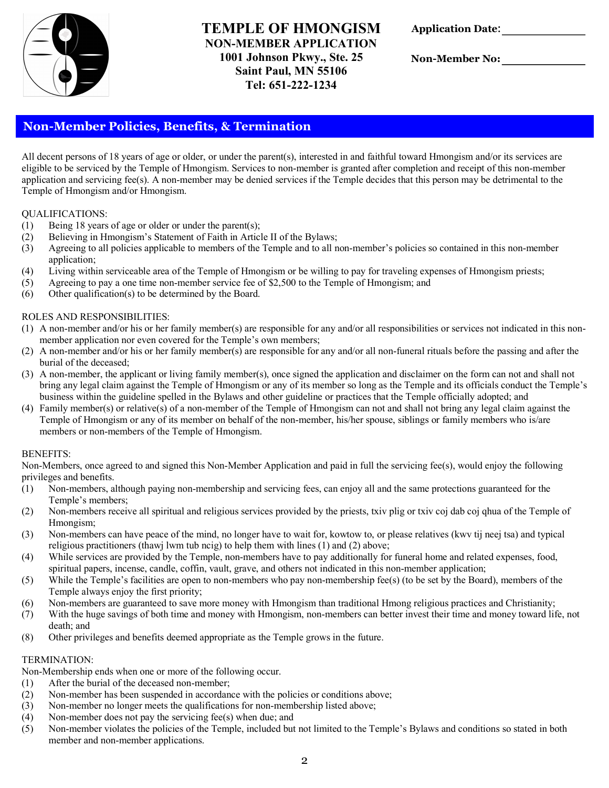

## **TEMPLE OF HMONGISM NON-MEMBER APPLICATION 1001 Johnson Pkwy., Ste. 25 Saint Paul, MN 55106 Tel: 651-222-1234**

| <b>Application Date:</b> |  |
|--------------------------|--|
|--------------------------|--|

**Non-Member No:** 

## **Non-Member Policies, Benefits, & Termination**

All decent persons of 18 years of age or older, or under the parent(s), interested in and faithful toward Hmongism and/or its services are eligible to be serviced by the Temple of Hmongism. Services to non-member is granted after completion and receipt of this non-member application and servicing fee(s). A non-member may be denied services if the Temple decides that this person may be detrimental to the Temple of Hmongism and/or Hmongism.

#### QUALIFICATIONS:

- (1) Being 18 years of age or older or under the parent(s);
- (2) Believing in Hmongism's Statement of Faith in Article II of the Bylaws;
- (3) Agreeing to all policies applicable to members of the Temple and to all non-member's policies so contained in this non-member application;
- (4) Living within serviceable area of the Temple of Hmongism or be willing to pay for traveling expenses of Hmongism priests;
- (5) Agreeing to pay a one time non-member service fee of \$2,500 to the Temple of Hmongism; and
- (6) Other qualification(s) to be determined by the Board.

#### ROLES AND RESPONSIBILITIES:

- (1) A non-member and/or his or her family member(s) are responsible for any and/or all responsibilities or services not indicated in this nonmember application nor even covered for the Temple's own members;
- (2) A non-member and/or his or her family member(s) are responsible for any and/or all non-funeral rituals before the passing and after the burial of the deceased;
- (3) A non-member, the applicant or living family member(s), once signed the application and disclaimer on the form can not and shall not bring any legal claim against the Temple of Hmongism or any of its member so long as the Temple and its officials conduct the Temple's business within the guideline spelled in the Bylaws and other guideline or practices that the Temple officially adopted; and
- (4) Family member(s) or relative(s) of a non-member of the Temple of Hmongism can not and shall not bring any legal claim against the Temple of Hmongism or any of its member on behalf of the non-member, his/her spouse, siblings or family members who is/are members or non-members of the Temple of Hmongism.

#### BENEFITS:

Non-Members, once agreed to and signed this Non-Member Application and paid in full the servicing fee(s), would enjoy the following privileges and benefits.

- (1) Non-members, although paying non-membership and servicing fees, can enjoy all and the same protections guaranteed for the Temple's members;
- (2) Non-members receive all spiritual and religious services provided by the priests, txiv plig or txiv coj dab coj qhua of the Temple of Hmongism;
- (3) Non-members can have peace of the mind, no longer have to wait for, kowtow to, or please relatives (kwv tij neej tsa) and typical religious practitioners (thawj lwm tub ncig) to help them with lines (1) and (2) above;
- (4) While services are provided by the Temple, non-members have to pay additionally for funeral home and related expenses, food, spiritual papers, incense, candle, coffin, vault, grave, and others not indicated in this non-member application;
- (5) While the Temple's facilities are open to non-members who pay non-membership fee(s) (to be set by the Board), members of the Temple always enjoy the first priority;
- (6) Non-members are guaranteed to save more money with Hmongism than traditional Hmong religious practices and Christianity;
- (7) With the huge savings of both time and money with Hmongism, non-members can better invest their time and money toward life, not death; and
- (8) Other privileges and benefits deemed appropriate as the Temple grows in the future.

#### TERMINATION:

Non-Membership ends when one or more of the following occur.

- (1) After the burial of the deceased non-member;
- (2) Non-member has been suspended in accordance with the policies or conditions above;
- (3) Non-member no longer meets the qualifications for non-membership listed above;
- (4) Non-member does not pay the servicing fee(s) when due; and
- (5) Non-member violates the policies of the Temple, included but not limited to the Temple's Bylaws and conditions so stated in both member and non-member applications.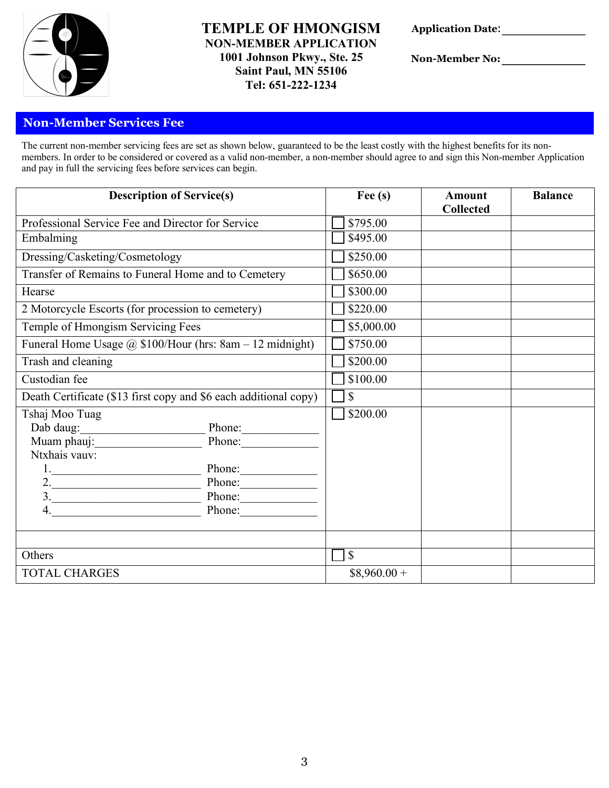

## **TEMPLE OF HMONGISM NON-MEMBER APPLICATION 1001 Johnson Pkwy., Ste. 25 Saint Paul, MN 55106 Tel: 651-222-1234**

| <b>Application Date:</b> |  |
|--------------------------|--|
|--------------------------|--|

**Non-Member No:** 

## **Non-Member Services Fee**

The current non-member servicing fees are set as shown below, guaranteed to be the least costly with the highest benefits for its nonmembers. In order to be considered or covered as a valid non-member, a non-member should agree to and sign this Non-member Application and pay in full the servicing fees before services can begin.

| <b>Description of Service(s)</b>                                 |               | Fee $(s)$     | <b>Amount</b><br><b>Collected</b> | <b>Balance</b> |
|------------------------------------------------------------------|---------------|---------------|-----------------------------------|----------------|
| Professional Service Fee and Director for Service                |               | \$795.00      |                                   |                |
| Embalming                                                        |               | \$495.00      |                                   |                |
| Dressing/Casketing/Cosmetology                                   |               | \$250.00      |                                   |                |
| Transfer of Remains to Funeral Home and to Cemetery              |               | \$650.00      |                                   |                |
| Hearse                                                           |               | \$300.00      |                                   |                |
| 2 Motorcycle Escorts (for procession to cemetery)                |               | \$220.00      |                                   |                |
| Temple of Hmongism Servicing Fees                                |               | \$5,000.00    |                                   |                |
| Funeral Home Usage @ \$100/Hour (hrs: 8am - 12 midnight)         |               | \$750.00      |                                   |                |
| Trash and cleaning                                               |               | \$200.00      |                                   |                |
| Custodian fee                                                    |               | \$100.00      |                                   |                |
| Death Certificate (\$13 first copy and \$6 each additional copy) |               | $\mathcal{S}$ |                                   |                |
| Tshaj Moo Tuag                                                   |               | \$200.00      |                                   |                |
| Dab daug:                                                        | $Phone$ .     |               |                                   |                |
| Muam phauj:                                                      | $Phone:\_$    |               |                                   |                |
| Ntxhais vauv:                                                    |               |               |                                   |                |
|                                                                  |               |               |                                   |                |
|                                                                  | Phone: Phone: |               |                                   |                |
| Phone:                                                           |               |               |                                   |                |
| Phone:                                                           |               |               |                                   |                |
|                                                                  |               |               |                                   |                |
| Others                                                           |               | $\mathbb{S}$  |                                   |                |
| <b>TOTAL CHARGES</b>                                             |               | $$8,960.00+$  |                                   |                |